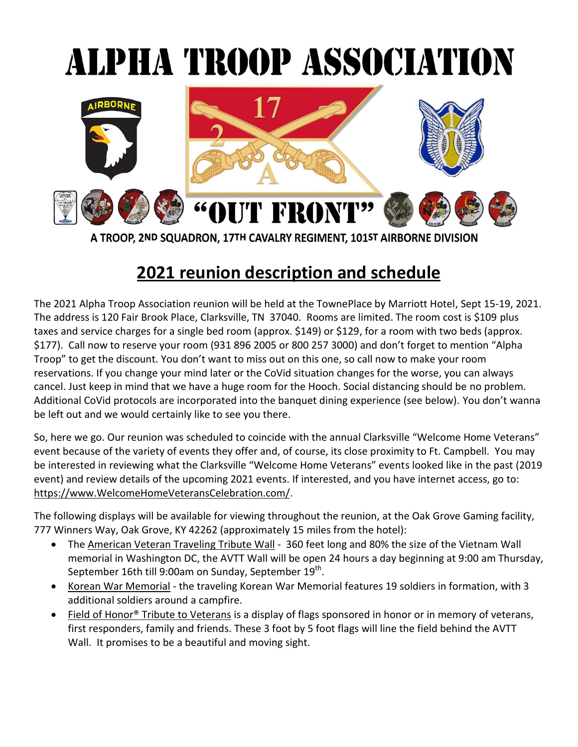# ALPHA TROOP ASSOCIATION



A TROOP, 2ND SQUADRON, 17TH CAVALRY REGIMENT, 101ST AIRBORNE DIVISION

# **2021 reunion description and schedule**

The 2021 Alpha Troop Association reunion will be held at the TownePlace by Marriott Hotel, Sept 15-19, 2021. The address is 120 Fair Brook Place, Clarksville, TN 37040. Rooms are limited. The room cost is \$109 plus taxes and service charges for a single bed room (approx. \$149) or \$129, for a room with two beds (approx. \$177). Call now to reserve your room (931 896 2005 or 800 257 3000) and don't forget to mention "Alpha Troop" to get the discount. You don't want to miss out on this one, so call now to make your room reservations. If you change your mind later or the CoVid situation changes for the worse, you can always cancel. Just keep in mind that we have a huge room for the Hooch. Social distancing should be no problem. Additional CoVid protocols are incorporated into the banquet dining experience (see below). You don't wanna be left out and we would certainly like to see you there.

So, here we go. Our reunion was scheduled to coincide with the annual Clarksville "Welcome Home Veterans" event because of the variety of events they offer and, of course, its close proximity to Ft. Campbell. You may be interested in reviewing what the Clarksville "Welcome Home Veterans" events looked like in the past (2019 event) and review details of the upcoming 2021 events. If interested, and you have internet access, go to: [https://www.WelcomeHomeVeteransCelebration.com/.](https://www.welcomehomeveteranscelebration.com/)

The following displays will be available for viewing throughout the reunion, at the Oak Grove Gaming facility, 777 Winners Way, Oak Grove, KY 42262 (approximately 15 miles from the hotel):

- The American Veteran Traveling Tribute Wall 360 feet long and 80% the size of the Vietnam Wall memorial in Washington DC, the AVTT Wall will be open 24 hours a day beginning at 9:00 am Thursday, September 16th till 9:00am on Sunday, September 19<sup>th</sup>.
- Korean War Memorial the traveling Korean War Memorial features 19 soldiers in formation, with 3 additional soldiers around a campfire.
- Field of Honor<sup>®</sup> Tribute to Veterans is a display of flags sponsored in honor or in memory of veterans, first responders, family and friends. These 3 foot by 5 foot flags will line the field behind the AVTT Wall. It promises to be a beautiful and moving sight.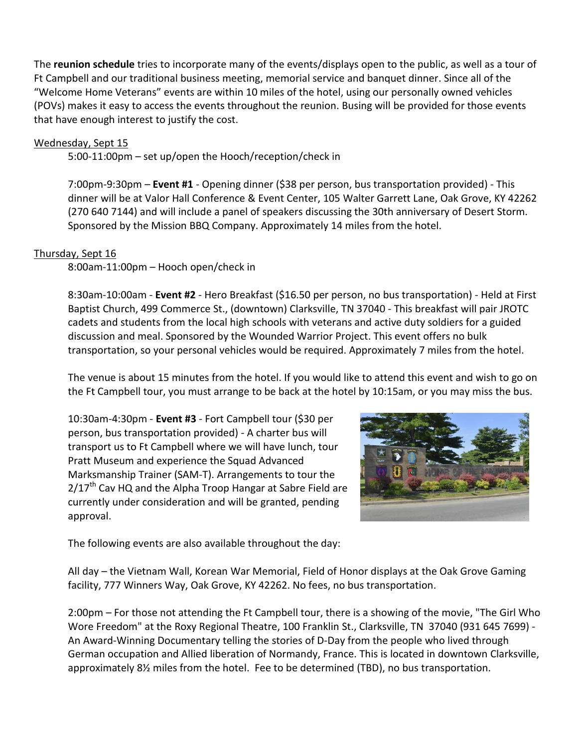The **reunion schedule** tries to incorporate many of the events/displays open to the public, as well as a tour of Ft Campbell and our traditional business meeting, memorial service and banquet dinner. Since all of the "Welcome Home Veterans" events are within 10 miles of the hotel, using our personally owned vehicles (POVs) makes it easy to access the events throughout the reunion. Busing will be provided for those events that have enough interest to justify the cost.

### Wednesday, Sept 15

5:00-11:00pm – set up/open the Hooch/reception/check in

7:00pm-9:30pm – **Event #1** - Opening dinner (\$38 per person, bus transportation provided) - This dinner will be at Valor Hall Conference & Event Center, 105 Walter Garrett Lane, Oak Grove, KY 42262 (270 640 7144) and will include a panel of speakers discussing the 30th anniversary of Desert Storm. Sponsored by the Mission BBQ Company. Approximately 14 miles from the hotel.

### Thursday, Sept 16

8:00am-11:00pm – Hooch open/check in

8:30am-10:00am - **Event #2** - Hero Breakfast (\$16.50 per person, no bus transportation) - Held at First Baptist Church, 499 Commerce St., (downtown) Clarksville, TN 37040 - This breakfast will pair JROTC cadets and students from the local high schools with veterans and active duty soldiers for a guided discussion and meal. Sponsored by the Wounded Warrior Project. This event offers no bulk transportation, so your personal vehicles would be required. Approximately 7 miles from the hotel.

The venue is about 15 minutes from the hotel. If you would like to attend this event and wish to go on the Ft Campbell tour, you must arrange to be back at the hotel by 10:15am, or you may miss the bus.

10:30am-4:30pm - **Event #3** - Fort Campbell tour (\$30 per person, bus transportation provided) - A charter bus will transport us to Ft Campbell where we will have lunch, tour Pratt Museum and experience the Squad Advanced Marksmanship Trainer (SAM-T). Arrangements to tour the  $2/17<sup>th</sup>$  Cav HQ and the Alpha Troop Hangar at Sabre Field are currently under consideration and will be granted, pending approval.



The following events are also available throughout the day:

All day – the Vietnam Wall, Korean War Memorial, Field of Honor displays at the Oak Grove Gaming facility, 777 Winners Way, Oak Grove, KY 42262. No fees, no bus transportation.

2:00pm – For those not attending the Ft Campbell tour, there is a showing of the movie, "The Girl Who Wore Freedom" at the Roxy Regional Theatre, 100 Franklin St., Clarksville, TN 37040 (931 645 7699) - An Award-Winning Documentary telling the stories of D-Day from the people who lived through German occupation and Allied liberation of Normandy, France. This is located in downtown Clarksville, approximately 8½ miles from the hotel. Fee to be determined (TBD), no bus transportation.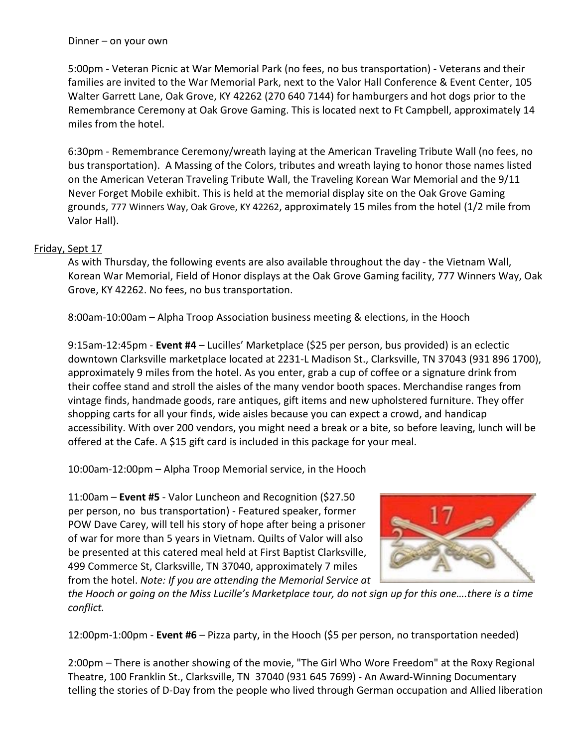5:00pm - Veteran Picnic at War Memorial Park (no fees, no bus transportation) - Veterans and their families are invited to the War Memorial Park, next to the Valor Hall Conference & Event Center, 105 Walter Garrett Lane, Oak Grove, KY 42262 (270 640 7144) for hamburgers and hot dogs prior to the Remembrance Ceremony at Oak Grove Gaming. This is located next to Ft Campbell, approximately 14 miles from the hotel.

6:30pm - Remembrance Ceremony/wreath laying at the American Traveling Tribute Wall (no fees, no bus transportation). A Massing of the Colors, tributes and wreath laying to honor those names listed on the American Veteran Traveling Tribute Wall, the Traveling Korean War Memorial and the 9/11 Never Forget Mobile exhibit. This is held at the memorial display site on the Oak Grove Gaming grounds, 777 Winners Way, Oak Grove, KY 42262, approximately 15 miles from the hotel (1/2 mile from Valor Hall).

## Friday, Sept 17

As with Thursday, the following events are also available throughout the day - the Vietnam Wall, Korean War Memorial, Field of Honor displays at the Oak Grove Gaming facility, 777 Winners Way, Oak Grove, KY 42262. No fees, no bus transportation.

8:00am-10:00am – Alpha Troop Association business meeting & elections, in the Hooch

9:15am-12:45pm - **Event #4** – Lucilles' Marketplace (\$25 per person, bus provided) is an eclectic downtown Clarksville marketplace located at 2231-L Madison St., Clarksville, TN 37043 (931 896 1700), approximately 9 miles from the hotel. As you enter, grab a cup of coffee or a signature drink from their [coffee](https://misslucillesmarketplace.com/coffee/) stand and stroll the aisles of the many vendor booth spaces. Merchandise ranges from vintage finds, handmade goods, rare antiques, gift items and new upholstered furniture. They offer shopping carts for all your finds, wide aisles because you can expect a crowd, and handicap accessibility. With over 200 vendors, you might need a break or a bite, so before leaving, lunch will be offered at the Cafe. A \$15 gift card is included in this package for your meal.

10:00am-12:00pm – Alpha Troop Memorial service, in the Hooch

11:00am – **Event #5** - Valor Luncheon and Recognition (\$27.50 per person, no bus transportation) - Featured speaker, former POW Dave Carey, will tell his story of hope after being a prisoner of war for more than 5 years in Vietnam. Quilts of Valor will also be presented at this catered meal held at First Baptist Clarksville, 499 Commerce St, Clarksville, TN 37040, approximately 7 miles from the hotel. *Note: If you are attending the Memorial Service at*



the Hooch or going on the Miss Lucille's Marketplace tour, do not sign up for this one....there is a time *conflict.*

12:00pm-1:00pm - **Event #6** – Pizza party, in the Hooch (\$5 per person, no transportation needed)

2:00pm – There is another showing of the movie, "The Girl Who Wore Freedom" at the Roxy Regional Theatre, 100 Franklin St., Clarksville, TN 37040 (931 645 7699) - An Award-Winning Documentary telling the stories of D-Day from the people who lived through German occupation and Allied liberation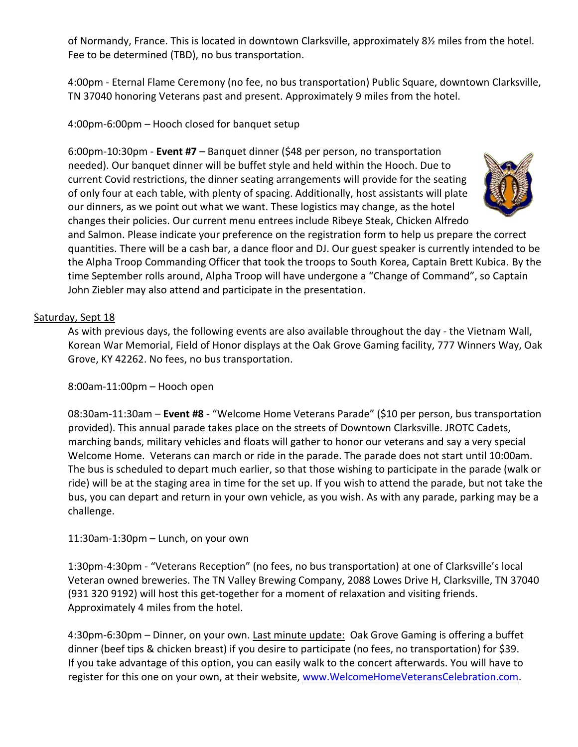of Normandy, France. This is located in downtown Clarksville, approximately 8½ miles from the hotel. Fee to be determined (TBD), no bus transportation.

4:00pm - Eternal Flame Ceremony (no fee, no bus transportation) Public Square, downtown Clarksville, TN 37040 honoring Veterans past and present. Approximately 9 miles from the hotel.

4:00pm-6:00pm – Hooch closed for banquet setup

6:00pm-10:30pm - **Event #7** – Banquet dinner (\$48 per person, no transportation needed). Our banquet dinner will be buffet style and held within the Hooch. Due to current Covid restrictions, the dinner seating arrangements will provide for the seating of only four at each table, with plenty of spacing. Additionally, host assistants will plate our dinners, as we point out what we want. These logistics may change, as the hotel changes their policies. Our current menu entrees include Ribeye Steak, Chicken Alfredo



and Salmon. Please indicate your preference on the registration form to help us prepare the correct quantities. There will be a cash bar, a dance floor and DJ. Our guest speaker is currently intended to be the Alpha Troop Commanding Officer that took the troops to South Korea, Captain Brett Kubica. By the time September rolls around, Alpha Troop will have undergone a "Change of Command", so Captain John Ziebler may also attend and participate in the presentation.

#### Saturday, Sept 18

As with previous days, the following events are also available throughout the day - the Vietnam Wall, Korean War Memorial, Field of Honor displays at the Oak Grove Gaming facility, 777 Winners Way, Oak Grove, KY 42262. No fees, no bus transportation.

8:00am-11:00pm – Hooch open

08:30am-11:30am – **Event #8** - "Welcome Home Veterans Parade" (\$10 per person, bus transportation provided). This annual parade takes place on the streets of Downtown Clarksville. JROTC Cadets, marching bands, military vehicles and floats will gather to honor our veterans and say a very special Welcome Home. Veterans can march or ride in the parade. The parade does not start until 10:00am. The bus is scheduled to depart much earlier, so that those wishing to participate in the parade (walk or ride) will be at the staging area in time for the set up. If you wish to attend the parade, but not take the bus, you can depart and return in your own vehicle, as you wish. As with any parade, parking may be a challenge.

### 11:30am-1:30pm – Lunch, on your own

1:30pm-4:30pm - "Veterans Reception" (no fees, no bus transportation) at one of Clarksville's local Veteran owned breweries. The TN Valley Brewing Company, 2088 Lowes Drive H, Clarksville, TN 37040 (931 320 9192) will host this get-together for a moment of relaxation and visiting friends. Approximately 4 miles from the hotel.

4:30pm-6:30pm – Dinner, on your own. Last minute update: Oak Grove Gaming is offering a buffet dinner (beef tips & chicken breast) if you desire to participate (no fees, no transportation) for \$39. If you take advantage of this option, you can easily walk to the concert afterwards. You will have to register for this one on your own, at their website, [www.WelcomeHomeVeteransCelebration.com.](http://www.welcomehomeveteranscelebration.com/)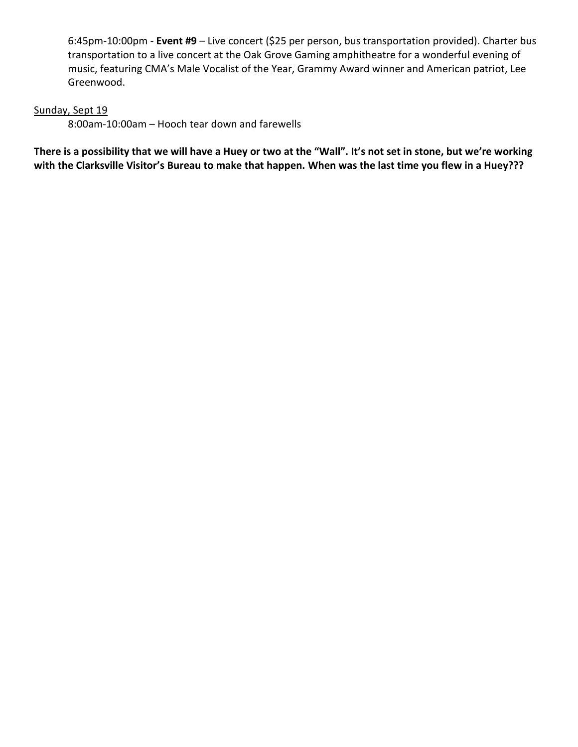6:45pm-10:00pm - **Event #9** – Live concert (\$25 per person, bus transportation provided). Charter bus transportation to a live concert at the Oak Grove Gaming amphitheatre for a wonderful evening of music, featuring CMA's Male Vocalist of the Year, Grammy Award winner and American patriot, Lee Greenwood.

#### Sunday, Sept 19

8:00am-10:00am – Hooch tear down and farewells

**There is a possibility that we will have a Huey or two at the "Wall". It's not set in stone, but we're working with the Clarksville Visitor's Bureau to make that happen. When was the last time you flew in a Huey???**